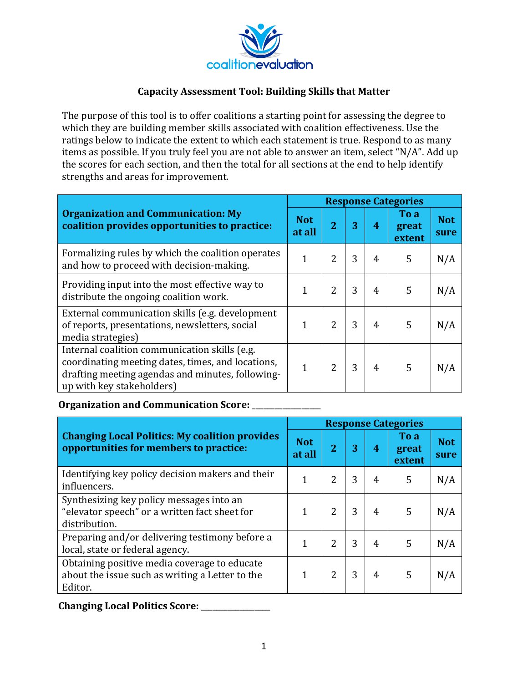

## **Capacity Assessment Tool: Building Skills that Matter**

The purpose of this tool is to offer coalitions a starting point for assessing the degree to which they are building member skills associated with coalition effectiveness. Use the ratings below to indicate the extent to which each statement is true. Respond to as many items as possible. If you truly feel you are not able to answer an item, select "N/A". Add up the scores for each section, and then the total for all sections at the end to help identify strengths and areas for improvement.

|                                                                                                                                                                                     | <b>Response Categories</b> |                |   |                |                         |                    |  |  |
|-------------------------------------------------------------------------------------------------------------------------------------------------------------------------------------|----------------------------|----------------|---|----------------|-------------------------|--------------------|--|--|
| <b>Organization and Communication: My</b><br>coalition provides opportunities to practice:                                                                                          | <b>Not</b><br>at all       |                | 3 | 4              | To a<br>great<br>extent | <b>Not</b><br>sure |  |  |
| Formalizing rules by which the coalition operates<br>and how to proceed with decision-making.                                                                                       | $\mathbf{1}$               | 2              | 3 | 4              | 5                       | N/A                |  |  |
| Providing input into the most effective way to<br>distribute the ongoing coalition work.                                                                                            |                            | 2              | 3 | 4              | 5                       | N/A                |  |  |
| External communication skills (e.g. development<br>of reports, presentations, newsletters, social<br>media strategies)                                                              | 1                          |                | 3 | 4              | 5                       | N/A                |  |  |
| Internal coalition communication skills (e.g.<br>coordinating meeting dates, times, and locations,<br>drafting meeting agendas and minutes, following-<br>up with key stakeholders) | $\mathbf{1}$               | $\overline{2}$ | 3 | $\overline{4}$ | 5                       | N/A                |  |  |

## **Organization and Communication Score:** \_\_\_\_\_\_\_\_\_\_\_\_\_\_

|                                                                                                            | <b>Response Categories</b> |                |   |   |                         |                    |  |  |
|------------------------------------------------------------------------------------------------------------|----------------------------|----------------|---|---|-------------------------|--------------------|--|--|
| <b>Changing Local Politics: My coalition provides</b><br>opportunities for members to practice:            | <b>Not</b><br>at all       | $\overline{2}$ | 3 | 4 | To a<br>great<br>extent | <b>Not</b><br>sure |  |  |
| Identifying key policy decision makers and their<br>influencers.                                           |                            | $\mathcal{L}$  | 3 | 4 | 5                       | N/A                |  |  |
| Synthesizing key policy messages into an<br>"elevator speech" or a written fact sheet for<br>distribution. |                            | $\overline{2}$ | 3 | 4 | 5                       | N/A                |  |  |
| Preparing and/or delivering testimony before a<br>local, state or federal agency.                          | 1                          | 2              | 3 | 4 | 5                       | N/A                |  |  |
| Obtaining positive media coverage to educate<br>about the issue such as writing a Letter to the<br>Editor. | 1                          | 2              | 3 | 4 | 5                       | N/A                |  |  |

**Changing Local Politics Score:** \_\_\_\_\_\_\_\_\_\_\_\_\_\_\_\_\_\_